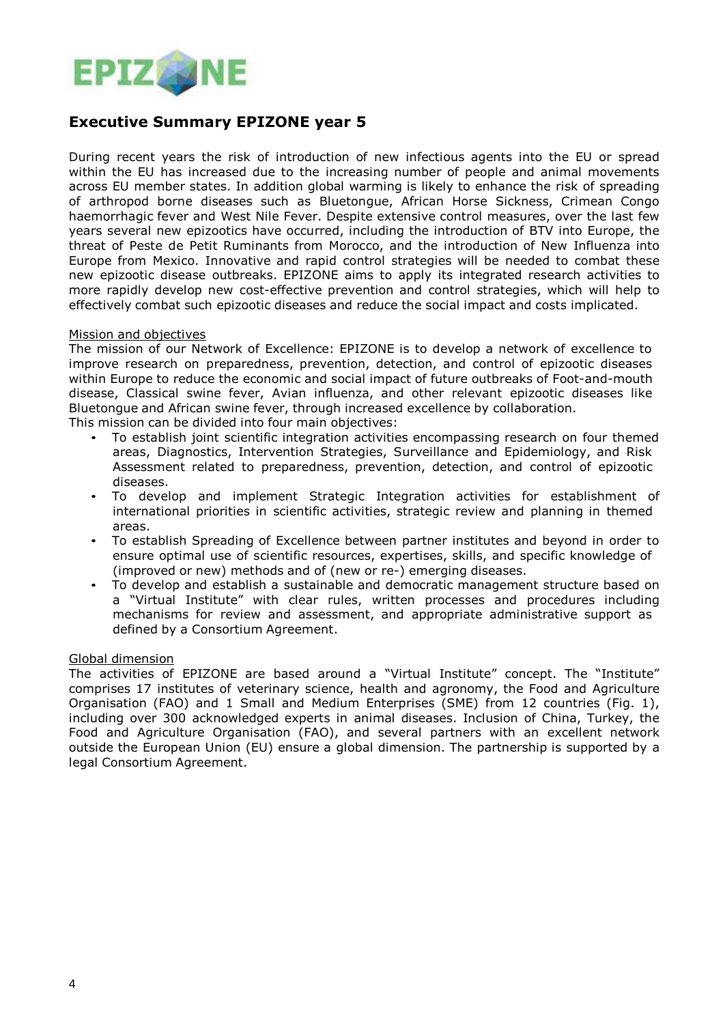

## **Executive Summary EPIZONE year 5**

During recent years the risk of introduction of new infectious agents into the EU or spread within the EU has increased due to the increasing number of people and animal movements across EU member states. In addition global warming is likely to enhance the risk of spreading of arthropod borne diseases such as Bluetongue, African Horse Sickness, Crimean Congo haemorrhagic fever and West Nile Fever. Despite extensive control measures, over the last few years several new epizootics have occurred, including the introduction of BTV into Europe, the threat of Peste de Petit Ruminants from Morocco, and the introduction of New Influenza into Europe from Mexico. Innovative and rapid control strategies will be needed to combat these new epizootic disease outbreaks. EPIZONE aims to apply its integrated research activities to more rapidly develop new cost-effective prevention and control strategies, which will help to effectively combat such epizootic diseases and reduce the social impact and costs implicated.

## Mission and objectives

The mission of our Network of Excellence: EPIZONE is to develop a network of excellence to improve research on preparedness, prevention, detection, and control of epizootic diseases within Europe to reduce the economic and social impact of future outbreaks of Foot-and-mouth disease, Classical swine fever, Avian influenza, and other relevant epizootic diseases like Bluetongue and African swine fever, through increased excellence by collaboration. This mission can be divided into four main objectives:

• To establish joint scientific integration activities encompassing research on four themed

- areas, Diagnostics, Intervention Strategies, Surveillance and Epidemiology, and Risk Assessment related to preparedness, prevention, detection, and control of epizootic diseases.
- To develop and implement Strategic Integration activities for establishment of international priorities in scientific activities, strategic review and planning in themed areas.
- To establish Spreading of Excellence between partner institutes and beyond in order to ensure optimal use of scientific resources, expertises, skills, and specific knowledge of (improved or new) methods and of (new or re-) emerging diseases.
- To develop and establish a sustainable and democratic management structure based on a "Virtual Institute" with clear rules, written processes and procedures including mechanisms for review and assessment, and appropriate administrative support as defined by a Consortium Agreement.

## Global dimension

The activities of EPIZONE are based around a "Virtual Institute" concept. The "Institute" comprises 17 institutes of veterinary science, health and agronomy, the Food and Agriculture Organisation (FAO) and 1 Small and Medium Enterprises (SME) from 12 countries (Fig. 1), including over 300 acknowledged experts in animal diseases. Inclusion of China, Turkey, the Food and Agriculture Organisation (FAO), and several partners with an excellent network outside the European Union (EU) ensure a global dimension. The partnership is supported by a legal Consortium Agreement.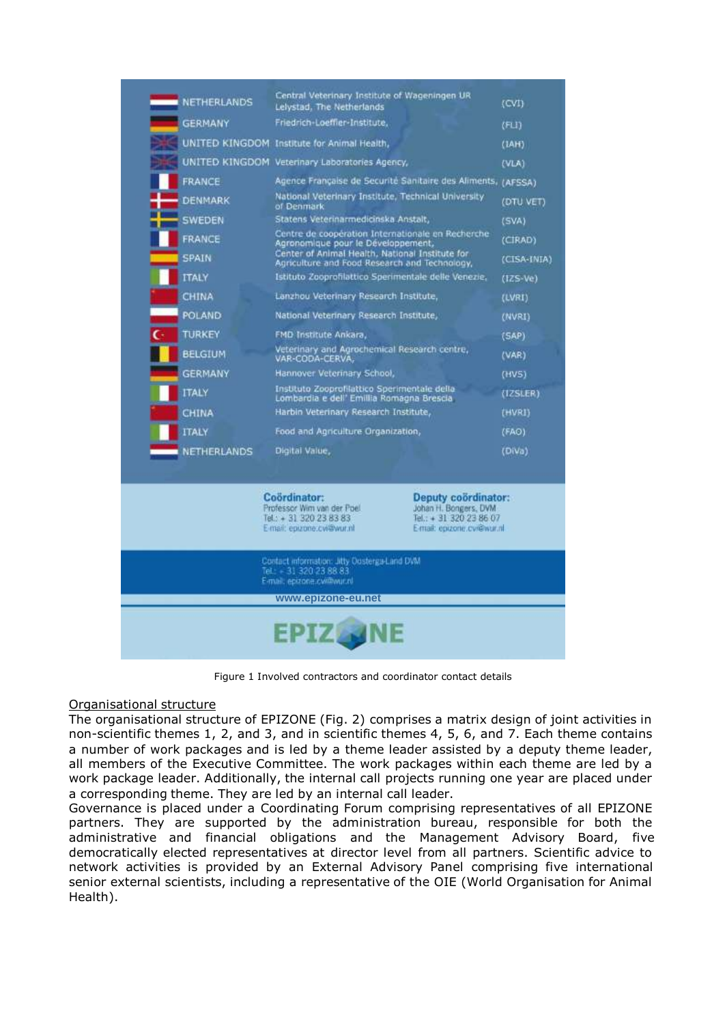

Figure 1 Involved contractors and coordinator contact details

## Organisational structure

The organisational structure of EPIZONE (Fig. 2) comprises a matrix design of joint activities in non-scientific themes 1, 2, and 3, and in scientific themes 4, 5, 6, and 7. Each theme contains a number of work packages and is led by a theme leader assisted by a deputy theme leader, all members of the Executive Committee. The work packages within each theme are led by a work package leader. Additionally, the internal call projects running one year are placed under a corresponding theme. They are led by an internal call leader.

Governance is placed under a Coordinating Forum comprising representatives of all EPIZONE partners. They are supported by the administration bureau, responsible for both the administrative and financial obligations and the Management Advisory Board, five democratically elected representatives at director level from all partners. Scientific advice to network activities is provided by an External Advisory Panel comprising five international senior external scientists, including a representative of the OIE (World Organisation for Animal Health).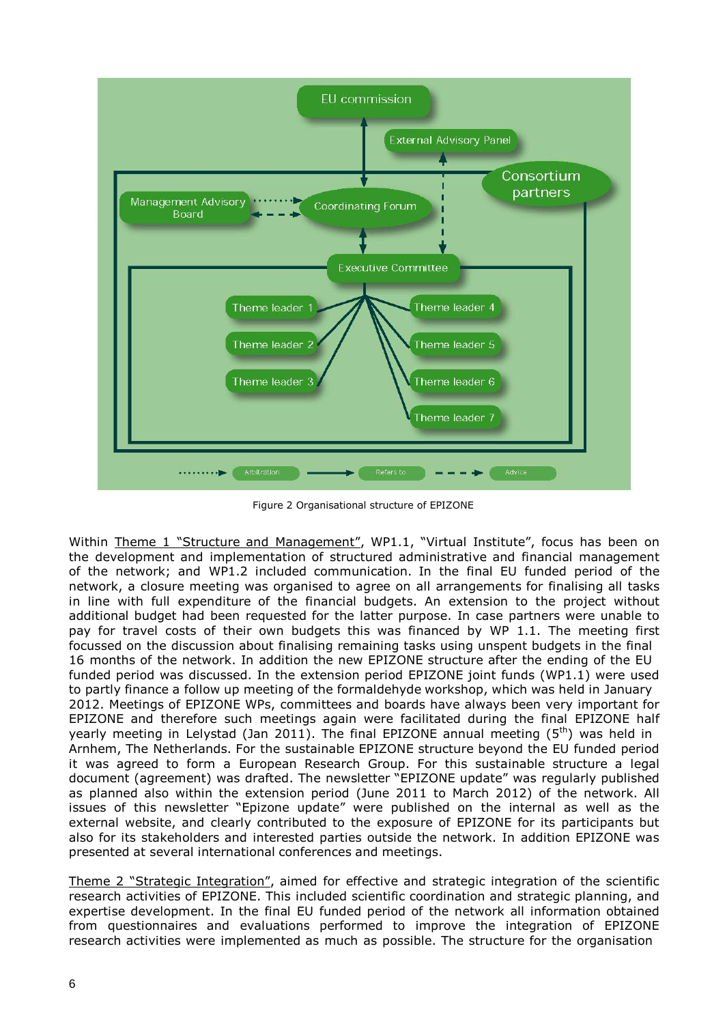

Figure 2 Organisational structure of EPIZONE

Within Theme 1 "Structure and Management", WP1.1, "Virtual Institute", focus has been on the development and implementation of structured administrative and financial management of the network; and WP1.2 included communication. In the final EU funded period of the network, a closure meeting was organised to agree on all arrangements for finalising all tasks in line with full expenditure of the financial budgets. An extension to the project without additional budget had been requested for the latter purpose. In case partners were unable to pay for travel costs of their own budgets this was financed by WP 1.1. The meeting first focussed on the discussion about finalising remaining tasks using unspent budgets in the final 16 months of the network. In addition the new EPIZONE structure after the ending of the EU funded period was discussed. In the extension period EPIZONE joint funds (WP1.1) were used to partly finance a follow up meeting of the formaldehyde workshop, which was held in January 2012. Meetings of EPIZONE WPs, committees and boards have always been very important for EPIZONE and therefore such meetings again were facilitated during the final EPIZONE half yearly meeting in Lelystad (Jan 2011). The final EPIZONE annual meeting (5<sup>th</sup>) was held in Arnhem, The Netherlands. For the sustainable EPIZONE structure beyond the EU funded period it was agreed to form a European Research Group. For this sustainable structure a legal document (agreement) was drafted. The newsletter "EPIZONE update" was regularly published as planned also within the extension period (June 2011 to March 2012) of the network. All issues of this newsletter "Epizone update" were published on the internal as well as the external website, and clearly contributed to the exposure of EPIZONE for its participants but also for its stakeholders and interested parties outside the network. In addition EPIZONE was presented at several international conferences and meetings.

Theme 2 "Strategic Integration", aimed for effective and strategic integration of the scientific research activities of EPIZONE. This included scientific coordination and strategic planning, and expertise development. In the final EU funded period of the network all information obtained from questionnaires and evaluations performed to improve the integration of EPIZONE research activities were implemented as much as possible. The structure for the organisation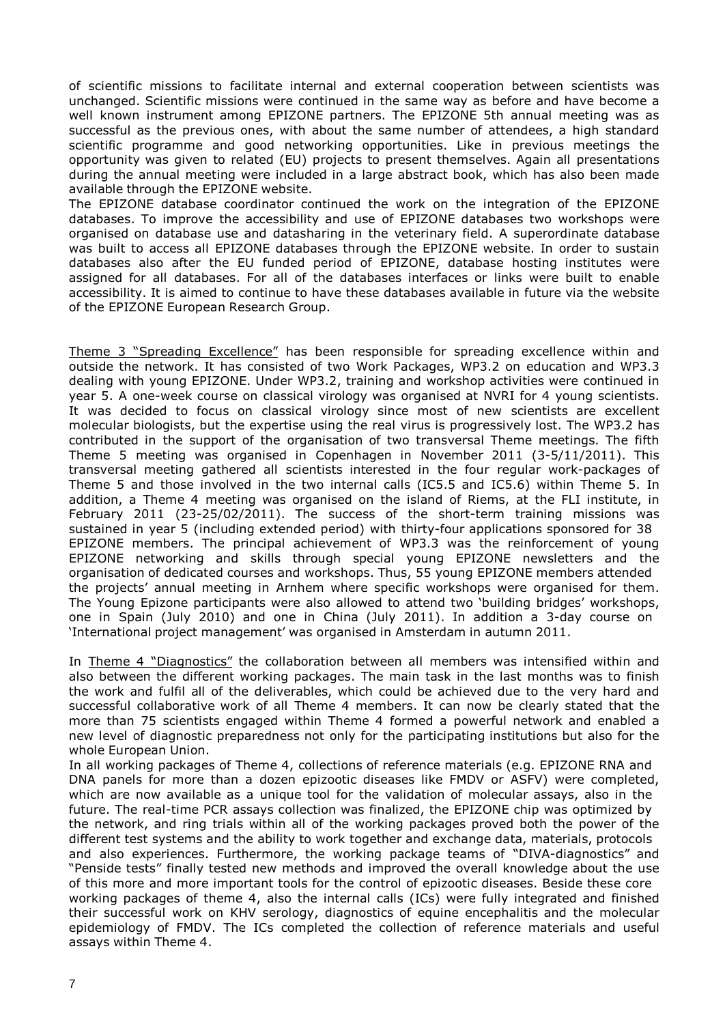of scientific missions to facilitate internal and external cooperation between scientists was unchanged. Scientific missions were continued in the same way as before and have become a well known instrument among EPIZONE partners. The EPIZONE 5th annual meeting was as successful as the previous ones, with about the same number of attendees, a high standard scientific programme and good networking opportunities. Like in previous meetings the opportunity was given to related (EU) projects to present themselves. Again all presentations during the annual meeting were included in a large abstract book, which has also been made available through the EPIZONE website.

The EPIZONE database coordinator continued the work on the integration of the EPIZONE databases. To improve the accessibility and use of EPIZONE databases two workshops were organised on database use and datasharing in the veterinary field. A superordinate database was built to access all EPIZONE databases through the EPIZONE website. In order to sustain databases also after the EU funded period of EPIZONE, database hosting institutes were assigned for all databases. For all of the databases interfaces or links were built to enable accessibility. It is aimed to continue to have these databases available in future via the website of the EPIZONE European Research Group.

Theme 3 "Spreading Excellence" has been responsible for spreading excellence within and outside the network. It has consisted of two Work Packages, WP3.2 on education and WP3.3 dealing with young EPIZONE. Under WP3.2, training and workshop activities were continued in year 5. A one-week course on classical virology was organised at NVRI for 4 young scientists. It was decided to focus on classical virology since most of new scientists are excellent molecular biologists, but the expertise using the real virus is progressively lost. The WP3.2 has contributed in the support of the organisation of two transversal Theme meetings. The fifth Theme 5 meeting was organised in Copenhagen in November 2011 (3-5/11/2011). This transversal meeting gathered all scientists interested in the four regular work-packages of Theme 5 and those involved in the two internal calls (IC5.5 and IC5.6) within Theme 5. In addition, a Theme 4 meeting was organised on the island of Riems, at the FLI institute, in February 2011 (23-25/02/2011). The success of the short-term training missions was sustained in year 5 (including extended period) with thirty-four applications sponsored for 38 EPIZONE members. The principal achievement of WP3.3 was the reinforcement of young EPIZONE networking and skills through special young EPIZONE newsletters and the organisation of dedicated courses and workshops. Thus, 55 young EPIZONE members attended the projects' annual meeting in Arnhem where specific workshops were organised for them. The Young Epizone participants were also allowed to attend two 'building bridges' workshops, one in Spain (July 2010) and one in China (July 2011). In addition a 3-day course on 'International project management' was organised in Amsterdam in autumn 2011.

In Theme 4 "Diagnostics" the collaboration between all members was intensified within and also between the different working packages. The main task in the last months was to finish the work and fulfil all of the deliverables, which could be achieved due to the very hard and successful collaborative work of all Theme 4 members. It can now be clearly stated that the more than 75 scientists engaged within Theme 4 formed a powerful network and enabled a new level of diagnostic preparedness not only for the participating institutions but also for the whole European Union.

In all working packages of Theme 4, collections of reference materials (e.g. EPIZONE RNA and DNA panels for more than a dozen epizootic diseases like FMDV or ASFV) were completed, which are now available as a unique tool for the validation of molecular assays, also in the future. The real-time PCR assays collection was finalized, the EPIZONE chip was optimized by the network, and ring trials within all of the working packages proved both the power of the different test systems and the ability to work together and exchange data, materials, protocols and also experiences. Furthermore, the working package teams of "DIVA-diagnostics" and "Penside tests" finally tested new methods and improved the overall knowledge about the use of this more and more important tools for the control of epizootic diseases. Beside these core working packages of theme 4, also the internal calls (ICs) were fully integrated and finished their successful work on KHV serology, diagnostics of equine encephalitis and the molecular epidemiology of FMDV. The ICs completed the collection of reference materials and useful assays within Theme 4.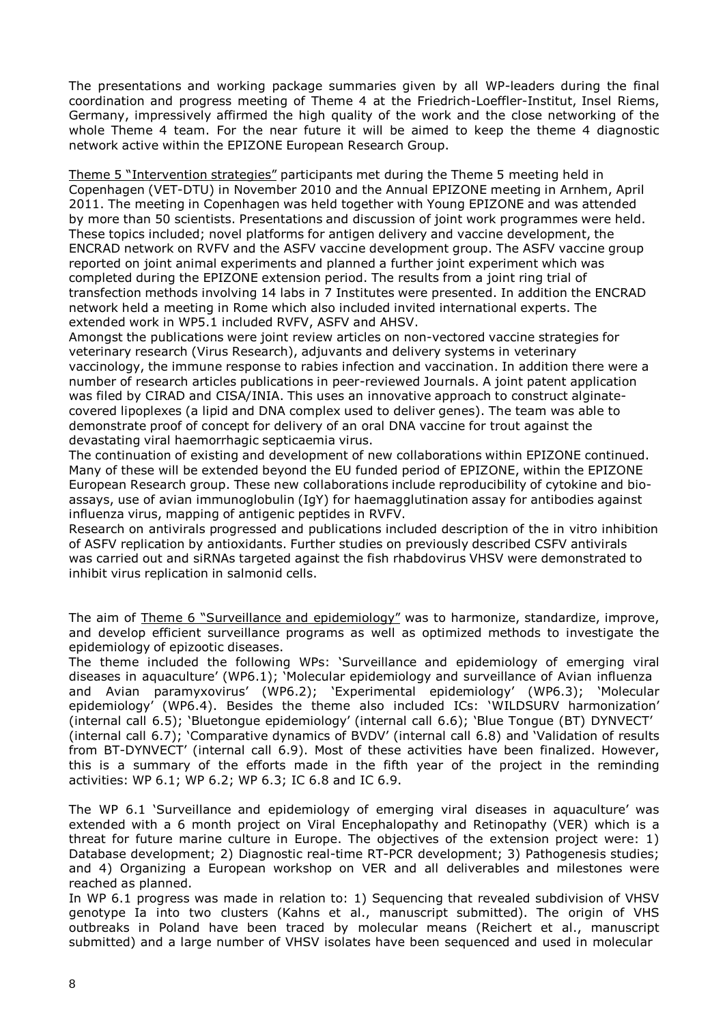The presentations and working package summaries given by all WP-leaders during the final coordination and progress meeting of Theme 4 at the Friedrich-Loeffler-Institut, Insel Riems, Germany, impressively affirmed the high quality of the work and the close networking of the whole Theme 4 team. For the near future it will be aimed to keep the theme 4 diagnostic network active within the EPIZONE European Research Group.

Theme 5 "Intervention strategies" participants met during the Theme 5 meeting held in Copenhagen (VET-DTU) in November 2010 and the Annual EPIZONE meeting in Arnhem, April 2011. The meeting in Copenhagen was held together with Young EPIZONE and was attended by more than 50 scientists. Presentations and discussion of joint work programmes were held. These topics included; novel platforms for antigen delivery and vaccine development, the ENCRAD network on RVFV and the ASFV vaccine development group. The ASFV vaccine group reported on joint animal experiments and planned a further joint experiment which was completed during the EPIZONE extension period. The results from a joint ring trial of transfection methods involving 14 labs in 7 Institutes were presented. In addition the ENCRAD network held a meeting in Rome which also included invited international experts. The extended work in WP5.1 included RVFV, ASFV and AHSV.

Amongst the publications were joint review articles on non-vectored vaccine strategies for veterinary research (Virus Research), adjuvants and delivery systems in veterinary vaccinology, the immune response to rabies infection and vaccination. In addition there were a number of research articles publications in peer-reviewed Journals. A joint patent application was filed by CIRAD and CISA/INIA. This uses an innovative approach to construct alginatecovered lipoplexes (a lipid and DNA complex used to deliver genes). The team was able to demonstrate proof of concept for delivery of an oral DNA vaccine for trout against the devastating viral haemorrhagic septicaemia virus.

The continuation of existing and development of new collaborations within EPIZONE continued. Many of these will be extended beyond the EU funded period of EPIZONE, within the EPIZONE European Research group. These new collaborations include reproducibility of cytokine and bioassays, use of avian immunoglobulin (IgY) for haemagglutination assay for antibodies against influenza virus, mapping of antigenic peptides in RVFV.

Research on antivirals progressed and publications included description of the in vitro inhibition of ASFV replication by antioxidants. Further studies on previously described CSFV antivirals was carried out and siRNAs targeted against the fish rhabdovirus VHSV were demonstrated to inhibit virus replication in salmonid cells.

The aim of Theme 6 "Surveillance and epidemiology" was to harmonize, standardize, improve, and develop efficient surveillance programs as well as optimized methods to investigate the epidemiology of epizootic diseases.

The theme included the following WPs: 'Surveillance and epidemiology of emerging viral diseases in aquaculture' (WP6.1); 'Molecular epidemiology and surveillance of Avian influenza and Avian paramyxovirus' (WP6.2); 'Experimental epidemiology' (WP6.3); 'Molecular epidemiology' (WP6.4). Besides the theme also included ICs: 'WILDSURV harmonization' (internal call 6.5); 'Bluetongue epidemiology' (internal call 6.6); 'Blue Tongue (BT) DYNVECT' (internal call 6.7); 'Comparative dynamics of BVDV' (internal call 6.8) and 'Validation of results from BT-DYNVECT' (internal call 6.9). Most of these activities have been finalized. However, this is a summary of the efforts made in the fifth year of the project in the reminding activities: WP 6.1; WP 6.2; WP 6.3; IC 6.8 and IC 6.9.

The WP 6.1 'Surveillance and epidemiology of emerging viral diseases in aquaculture' was extended with a 6 month project on Viral Encephalopathy and Retinopathy (VER) which is a threat for future marine culture in Europe. The objectives of the extension project were: 1) Database development; 2) Diagnostic real-time RT-PCR development; 3) Pathogenesis studies; and 4) Organizing a European workshop on VER and all deliverables and milestones were reached as planned.

In WP 6.1 progress was made in relation to: 1) Sequencing that revealed subdivision of VHSV genotype Ia into two clusters (Kahns et al., manuscript submitted). The origin of VHS outbreaks in Poland have been traced by molecular means (Reichert et al., manuscript submitted) and a large number of VHSV isolates have been sequenced and used in molecular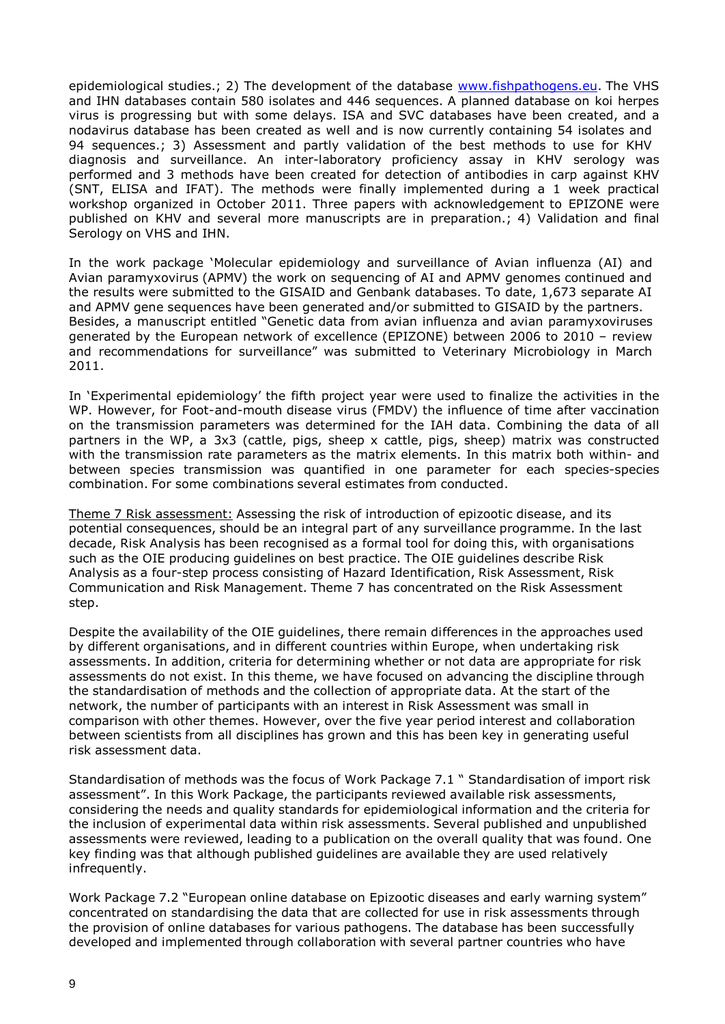epidemiological studies.; 2) The development of the database [www.fishpathogens.eu.](http://www.fishpathogens.eu/) The VHS and IHN databases contain 580 isolates and 446 sequences. A planned database on koi herpes virus is progressing but with some delays. ISA and SVC databases have been created, and a nodavirus database has been created as well and is now currently containing 54 isolates and 94 sequences.; 3) Assessment and partly validation of the best methods to use for KHV diagnosis and surveillance. An inter-laboratory proficiency assay in KHV serology was performed and 3 methods have been created for detection of antibodies in carp against KHV (SNT, ELISA and IFAT). The methods were finally implemented during a 1 week practical workshop organized in October 2011. Three papers with acknowledgement to EPIZONE were published on KHV and several more manuscripts are in preparation.; 4) Validation and final Serology on VHS and IHN.

In the work package 'Molecular epidemiology and surveillance of Avian influenza (AI) and Avian paramyxovirus (APMV) the work on sequencing of AI and APMV genomes continued and the results were submitted to the GISAID and Genbank databases. To date, 1,673 separate AI and APMV gene sequences have been generated and/or submitted to GISAID by the partners. Besides, a manuscript entitled "Genetic data from avian influenza and avian paramyxoviruses generated by the European network of excellence (EPIZONE) between 2006 to 2010 – review and recommendations for surveillance" was submitted to Veterinary Microbiology in March 2011.

In 'Experimental epidemiology' the fifth project year were used to finalize the activities in the WP. However, for Foot-and-mouth disease virus (FMDV) the influence of time after vaccination on the transmission parameters was determined for the IAH data. Combining the data of all partners in the WP, a 3x3 (cattle, pigs, sheep x cattle, pigs, sheep) matrix was constructed with the transmission rate parameters as the matrix elements. In this matrix both within- and between species transmission was quantified in one parameter for each species-species combination. For some combinations several estimates from conducted.

Theme 7 Risk assessment: Assessing the risk of introduction of epizootic disease, and its potential consequences, should be an integral part of any surveillance programme. In the last decade, Risk Analysis has been recognised as a formal tool for doing this, with organisations such as the OIE producing guidelines on best practice. The OIE guidelines describe Risk Analysis as a four-step process consisting of Hazard Identification, Risk Assessment, Risk Communication and Risk Management. Theme 7 has concentrated on the Risk Assessment step.

Despite the availability of the OIE guidelines, there remain differences in the approaches used by different organisations, and in different countries within Europe, when undertaking risk assessments. In addition, criteria for determining whether or not data are appropriate for risk assessments do not exist. In this theme, we have focused on advancing the discipline through the standardisation of methods and the collection of appropriate data. At the start of the network, the number of participants with an interest in Risk Assessment was small in comparison with other themes. However, over the five year period interest and collaboration between scientists from all disciplines has grown and this has been key in generating useful risk assessment data.

Standardisation of methods was the focus of Work Package 7.1 " Standardisation of import risk assessment". In this Work Package, the participants reviewed available risk assessments, considering the needs and quality standards for epidemiological information and the criteria for the inclusion of experimental data within risk assessments. Several published and unpublished assessments were reviewed, leading to a publication on the overall quality that was found. One key finding was that although published guidelines are available they are used relatively infrequently.

Work Package 7.2 "European online database on Epizootic diseases and early warning system" concentrated on standardising the data that are collected for use in risk assessments through the provision of online databases for various pathogens. The database has been successfully developed and implemented through collaboration with several partner countries who have